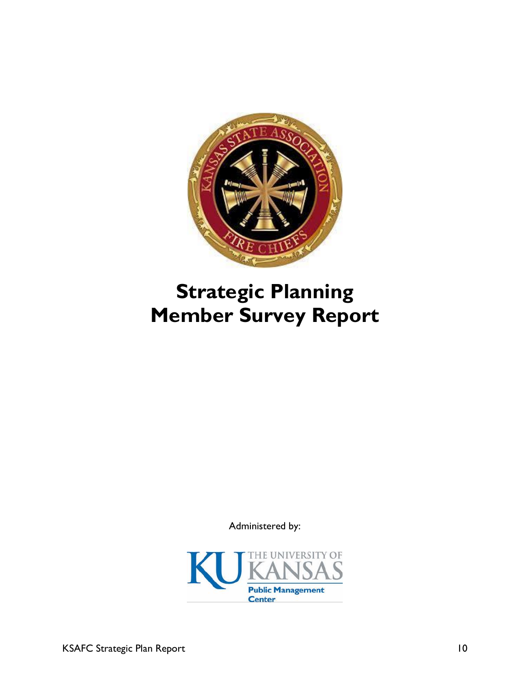

# **Strategic Planning Member Survey Report**

Administered by:

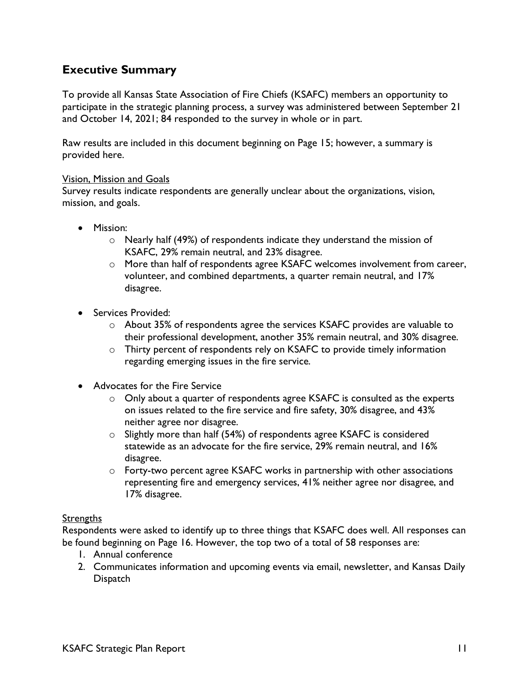# **Executive Summary**

To provide all Kansas State Association of Fire Chiefs (KSAFC) members an opportunity to participate in the strategic planning process, a survey was administered between September 21 and October 14, 2021; 84 responded to the survey in whole or in part.

Raw results are included in this document beginning on Page 15; however, a summary is provided here.

#### Vision, Mission and Goals

Survey results indicate respondents are generally unclear about the organizations, vision, mission, and goals.

- Mission:
	- o Nearly half (49%) of respondents indicate they understand the mission of KSAFC, 29% remain neutral, and 23% disagree.
	- o More than half of respondents agree KSAFC welcomes involvement from career, volunteer, and combined departments, a quarter remain neutral, and 17% disagree.
- Services Provided:
	- $\circ$  About 35% of respondents agree the services KSAFC provides are valuable to their professional development, another 35% remain neutral, and 30% disagree.
	- o Thirty percent of respondents rely on KSAFC to provide timely information regarding emerging issues in the fire service.
- Advocates for the Fire Service
	- o Only about a quarter of respondents agree KSAFC is consulted as the experts on issues related to the fire service and fire safety, 30% disagree, and 43% neither agree nor disagree.
	- o Slightly more than half (54%) of respondents agree KSAFC is considered statewide as an advocate for the fire service, 29% remain neutral, and 16% disagree.
	- o Forty-two percent agree KSAFC works in partnership with other associations representing fire and emergency services, 41% neither agree nor disagree, and 17% disagree.

## Strengths

Respondents were asked to identify up to three things that KSAFC does well. All responses can be found beginning on Page 16. However, the top two of a total of 58 responses are:

- 1. Annual conference
- 2. Communicates information and upcoming events via email, newsletter, and Kansas Daily **Dispatch**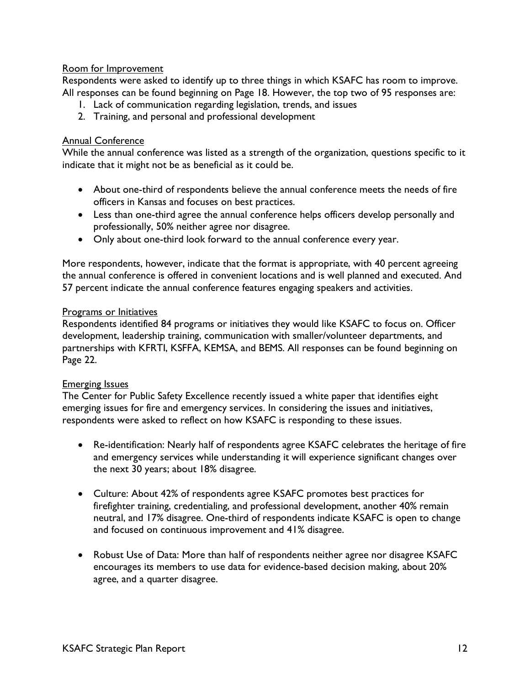## Room for Improvement

Respondents were asked to identify up to three things in which KSAFC has room to improve. All responses can be found beginning on Page 18. However, the top two of 95 responses are:

- 1. Lack of communication regarding legislation, trends, and issues
- 2. Training, and personal and professional development

## Annual Conference

While the annual conference was listed as a strength of the organization, questions specific to it indicate that it might not be as beneficial as it could be.

- About one-third of respondents believe the annual conference meets the needs of fire officers in Kansas and focuses on best practices.
- Less than one-third agree the annual conference helps officers develop personally and professionally, 50% neither agree nor disagree.
- Only about one-third look forward to the annual conference every year.

More respondents, however, indicate that the format is appropriate, with 40 percent agreeing the annual conference is offered in convenient locations and is well planned and executed. And 57 percent indicate the annual conference features engaging speakers and activities.

### Programs or Initiatives

Respondents identified 84 programs or initiatives they would like KSAFC to focus on. Officer development, leadership training, communication with smaller/volunteer departments, and partnerships with KFRTI, KSFFA, KEMSA, and BEMS. All responses can be found beginning on Page 22.

## Emerging Issues

The Center for Public Safety Excellence recently issued a white paper that identifies eight emerging issues for fire and emergency services. In considering the issues and initiatives, respondents were asked to reflect on how KSAFC is responding to these issues.

- Re-identification: Nearly half of respondents agree KSAFC celebrates the heritage of fire and emergency services while understanding it will experience significant changes over the next 30 years; about 18% disagree.
- Culture: About 42% of respondents agree KSAFC promotes best practices for firefighter training, credentialing, and professional development, another 40% remain neutral, and 17% disagree. One-third of respondents indicate KSAFC is open to change and focused on continuous improvement and 41% disagree.
- Robust Use of Data: More than half of respondents neither agree nor disagree KSAFC encourages its members to use data for evidence-based decision making, about 20% agree, and a quarter disagree.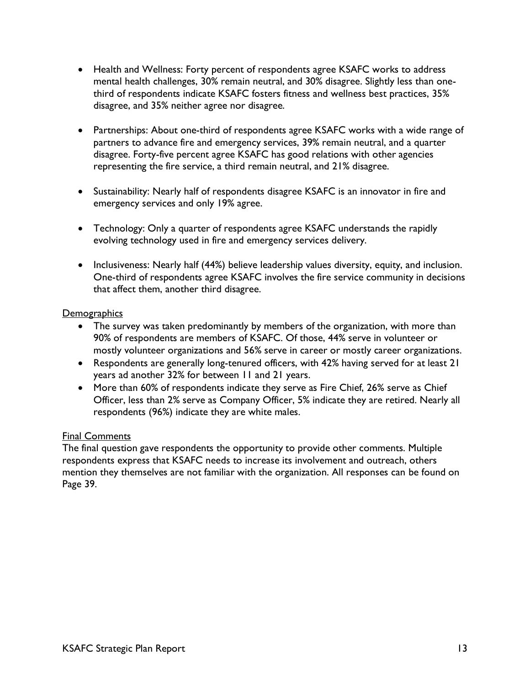- Health and Wellness: Forty percent of respondents agree KSAFC works to address mental health challenges, 30% remain neutral, and 30% disagree. Slightly less than onethird of respondents indicate KSAFC fosters fitness and wellness best practices, 35% disagree, and 35% neither agree nor disagree.
- Partnerships: About one-third of respondents agree KSAFC works with a wide range of partners to advance fire and emergency services, 39% remain neutral, and a quarter disagree. Forty-five percent agree KSAFC has good relations with other agencies representing the fire service, a third remain neutral, and 21% disagree.
- Sustainability: Nearly half of respondents disagree KSAFC is an innovator in fire and emergency services and only 19% agree.
- Technology: Only a quarter of respondents agree KSAFC understands the rapidly evolving technology used in fire and emergency services delivery.
- Inclusiveness: Nearly half (44%) believe leadership values diversity, equity, and inclusion. One-third of respondents agree KSAFC involves the fire service community in decisions that affect them, another third disagree.

### **Demographics**

- The survey was taken predominantly by members of the organization, with more than 90% of respondents are members of KSAFC. Of those, 44% serve in volunteer or mostly volunteer organizations and 56% serve in career or mostly career organizations.
- Respondents are generally long-tenured officers, with 42% having served for at least 21 years ad another 32% for between 11 and 21 years.
- More than 60% of respondents indicate they serve as Fire Chief, 26% serve as Chief Officer, less than 2% serve as Company Officer, 5% indicate they are retired. Nearly all respondents (96%) indicate they are white males.

## Final Comments

The final question gave respondents the opportunity to provide other comments. Multiple respondents express that KSAFC needs to increase its involvement and outreach, others mention they themselves are not familiar with the organization. All responses can be found on Page 39.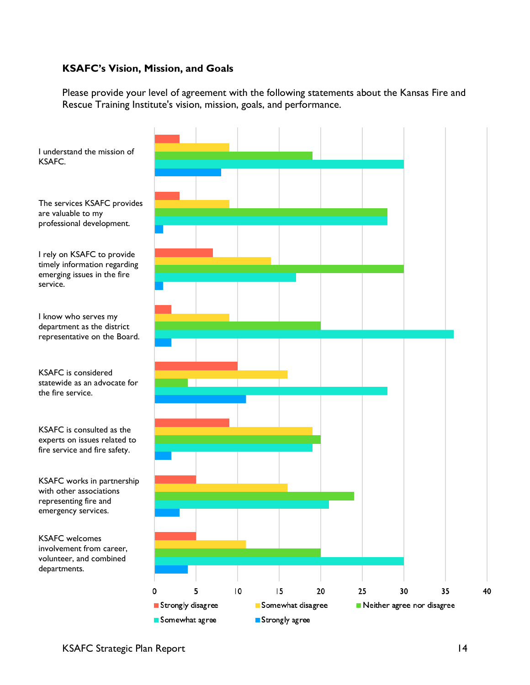## **KSAFC's Vision, Mission, and Goals**

Please provide your level of agreement with the following statements about the Kansas Fire and Rescue Training Institute's vision, mission, goals, and performance.



I understand the mission of KSAFC.

The services KSAFC provides are valuable to my professional development.

I rely on KSAFC to provide timely information regarding emerging issues in the fire service.

I know who serves my department as the district representative on the Board.

KSAFC is considered statewide as an advocate for the fire service.

KSAFC is consulted as the experts on issues related to fire service and fire safety.

KSAFC works in partnership with other associations representing fire and emergency services.

KSAFC welcomes involvement from career, volunteer, and combined departments.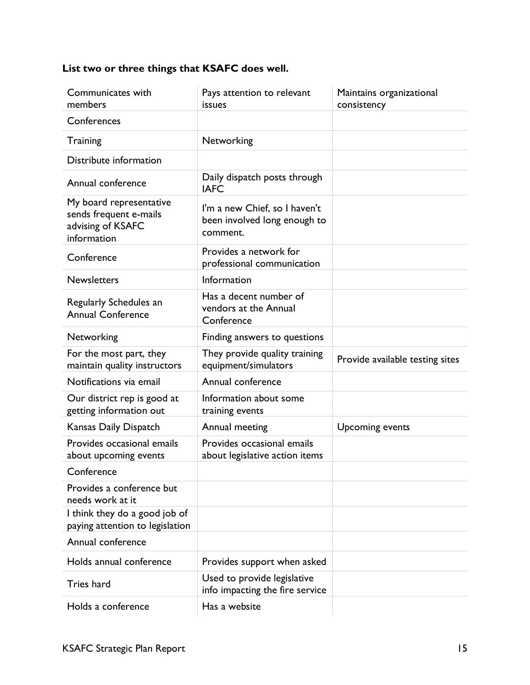# **List two or three things that KSAFC does well.**

| Communicates with<br>members                                                          | Pays attention to relevant<br>issues                                      | Maintains organizational<br>consistency |
|---------------------------------------------------------------------------------------|---------------------------------------------------------------------------|-----------------------------------------|
| Conferences                                                                           |                                                                           |                                         |
| Training                                                                              | Networking                                                                |                                         |
| Distribute information                                                                |                                                                           |                                         |
| Annual conference                                                                     | Daily dispatch posts through<br><b>IAFC</b>                               |                                         |
| My board representative<br>sends frequent e-mails<br>advising of KSAFC<br>information | I'm a new Chief, so I haven't<br>been involved long enough to<br>comment. |                                         |
| Conference                                                                            | Provides a network for<br>professional communication                      |                                         |
| <b>Newsletters</b>                                                                    | Information                                                               |                                         |
| Regularly Schedules an<br><b>Annual Conference</b>                                    | Has a decent number of<br>vendors at the Annual<br>Conference             |                                         |
| Networking                                                                            | Finding answers to questions                                              |                                         |
| For the most part, they<br>maintain quality instructors                               | They provide quality training<br>equipment/simulators                     | Provide available testing sites         |
| Notifications via email                                                               | Annual conference                                                         |                                         |
| Our district rep is good at<br>getting information out                                | Information about some<br>training events                                 |                                         |
| Kansas Daily Dispatch                                                                 | Annual meeting                                                            | Upcoming events                         |
| Provides occasional emails<br>about upcoming events                                   | Provides occasional emails<br>about legislative action items              |                                         |
| Conference                                                                            |                                                                           |                                         |
| Provides a conference but<br>needs work at it                                         |                                                                           |                                         |
| I think they do a good job of<br>paying attention to legislation                      |                                                                           |                                         |
| Annual conference                                                                     |                                                                           |                                         |
| Holds annual conference                                                               | Provides support when asked                                               |                                         |
| Tries hard                                                                            | Used to provide legislative<br>info impacting the fire service            |                                         |
| Holds a conference                                                                    | Has a website                                                             |                                         |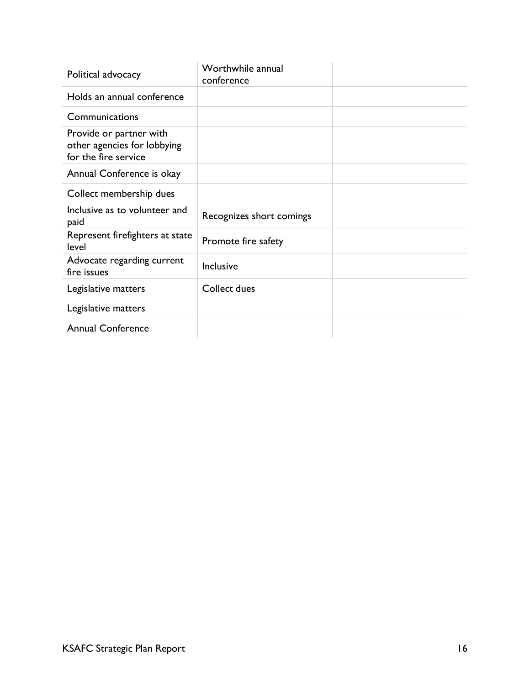| Political advocacy                                                             | Worthwhile annual<br>conference |  |
|--------------------------------------------------------------------------------|---------------------------------|--|
| Holds an annual conference                                                     |                                 |  |
| Communications                                                                 |                                 |  |
| Provide or partner with<br>other agencies for lobbying<br>for the fire service |                                 |  |
| Annual Conference is okay                                                      |                                 |  |
| Collect membership dues                                                        |                                 |  |
| Inclusive as to volunteer and<br>paid                                          | Recognizes short comings        |  |
| Represent firefighters at state<br>level                                       | Promote fire safety             |  |
| Advocate regarding current<br>fire issues                                      | Inclusive                       |  |
| Legislative matters                                                            | Collect dues                    |  |
| Legislative matters                                                            |                                 |  |
| <b>Annual Conference</b>                                                       |                                 |  |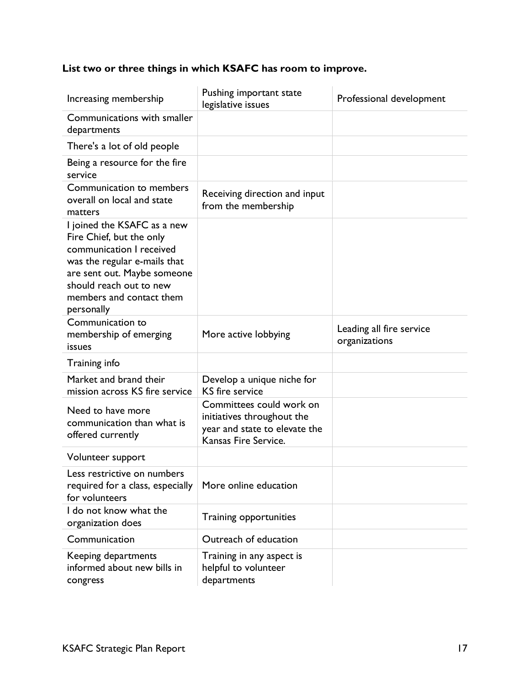# **List two or three things in which KSAFC has room to improve.**

| Increasing membership                                                                                                                                                                                                   | Pushing important state<br>legislative issues                                                                   | Professional development                  |
|-------------------------------------------------------------------------------------------------------------------------------------------------------------------------------------------------------------------------|-----------------------------------------------------------------------------------------------------------------|-------------------------------------------|
| Communications with smaller<br>departments                                                                                                                                                                              |                                                                                                                 |                                           |
| There's a lot of old people                                                                                                                                                                                             |                                                                                                                 |                                           |
| Being a resource for the fire<br>service                                                                                                                                                                                |                                                                                                                 |                                           |
| Communication to members<br>overall on local and state<br>matters                                                                                                                                                       | Receiving direction and input<br>from the membership                                                            |                                           |
| I joined the KSAFC as a new<br>Fire Chief, but the only<br>communication I received<br>was the regular e-mails that<br>are sent out. Maybe someone<br>should reach out to new<br>members and contact them<br>personally |                                                                                                                 |                                           |
| Communication to<br>membership of emerging<br>issues                                                                                                                                                                    | More active lobbying                                                                                            | Leading all fire service<br>organizations |
| Training info                                                                                                                                                                                                           |                                                                                                                 |                                           |
| Market and brand their<br>mission across KS fire service                                                                                                                                                                | Develop a unique niche for<br><b>KS</b> fire service                                                            |                                           |
| Need to have more<br>communication than what is<br>offered currently                                                                                                                                                    | Committees could work on<br>initiatives throughout the<br>year and state to elevate the<br>Kansas Fire Service. |                                           |
| Volunteer support                                                                                                                                                                                                       |                                                                                                                 |                                           |
| Less restrictive on numbers<br>required for a class, especially<br>for volunteers                                                                                                                                       | More online education                                                                                           |                                           |
| I do not know what the<br>organization does                                                                                                                                                                             | Training opportunities                                                                                          |                                           |
| Communication                                                                                                                                                                                                           | Outreach of education                                                                                           |                                           |
| Keeping departments<br>informed about new bills in<br>congress                                                                                                                                                          | Training in any aspect is<br>helpful to volunteer<br>departments                                                |                                           |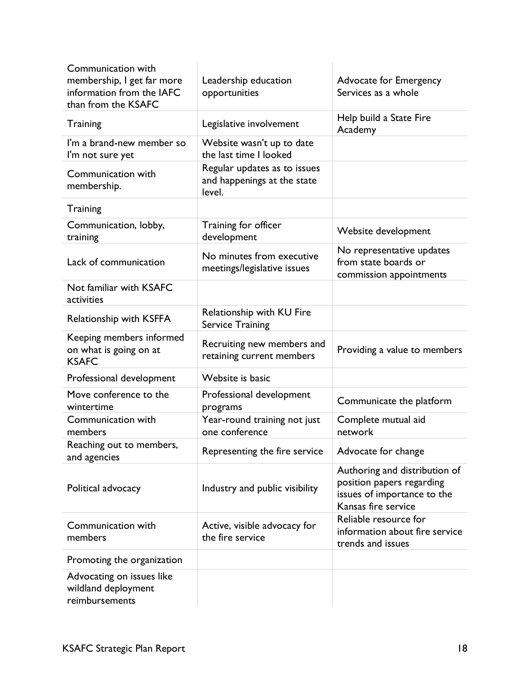| Communication with<br>membership, I get far more<br>information from the IAFC<br>than from the KSAFC | Leadership education<br>opportunities                                 | Advocate for Emergency<br>Services as a whole                                                                    |
|------------------------------------------------------------------------------------------------------|-----------------------------------------------------------------------|------------------------------------------------------------------------------------------------------------------|
| Training                                                                                             | Legislative involvement                                               | Help build a State Fire<br>Academy                                                                               |
| I'm a brand-new member so<br>I'm not sure yet                                                        | Website wasn't up to date<br>the last time I looked                   |                                                                                                                  |
| Communication with<br>membership.                                                                    | Regular updates as to issues<br>and happenings at the state<br>level. |                                                                                                                  |
| Training                                                                                             |                                                                       |                                                                                                                  |
| Communication, lobby,<br>training                                                                    | Training for officer<br>development                                   | Website development                                                                                              |
| Lack of communication                                                                                | No minutes from executive<br>meetings/legislative issues              | No representative updates<br>from state boards or<br>commission appointments                                     |
| Not familiar with KSAFC<br>activities                                                                |                                                                       |                                                                                                                  |
| Relationship with KSFFA                                                                              | Relationship with KU Fire<br><b>Service Training</b>                  |                                                                                                                  |
| Keeping members informed<br>on what is going on at<br><b>KSAFC</b>                                   | Recruiting new members and<br>retaining current members               | Providing a value to members                                                                                     |
| Professional development                                                                             | Website is basic                                                      |                                                                                                                  |
| Move conference to the<br>wintertime                                                                 | Professional development<br>programs                                  | Communicate the platform                                                                                         |
| Communication with<br>members                                                                        | Year-round training not just<br>one conference                        | Complete mutual aid<br>network                                                                                   |
| Reaching out to members,<br>and agencies                                                             | Representing the fire service                                         | Advocate for change                                                                                              |
| Political advocacy                                                                                   | Industry and public visibility                                        | Authoring and distribution of<br>position papers regarding<br>issues of importance to the<br>Kansas fire service |
| Communication with<br>members                                                                        | Active, visible advocacy for<br>the fire service                      | Reliable resource for<br>information about fire service<br>trends and issues                                     |
| Promoting the organization                                                                           |                                                                       |                                                                                                                  |
| Advocating on issues like<br>wildland deployment<br>reimbursements                                   |                                                                       |                                                                                                                  |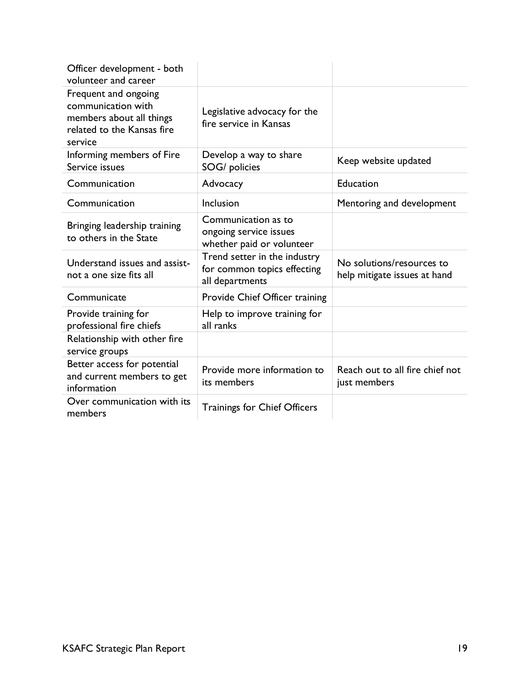| Officer development - both<br>volunteer and career                                                              |                                                                                |                                                           |
|-----------------------------------------------------------------------------------------------------------------|--------------------------------------------------------------------------------|-----------------------------------------------------------|
| Frequent and ongoing<br>communication with<br>members about all things<br>related to the Kansas fire<br>service | Legislative advocacy for the<br>fire service in Kansas                         |                                                           |
| Informing members of Fire<br>Service issues                                                                     | Develop a way to share<br>SOG/ policies                                        | Keep website updated                                      |
| Communication                                                                                                   | Advocacy                                                                       | Education                                                 |
| Communication                                                                                                   | Inclusion                                                                      | Mentoring and development                                 |
| Bringing leadership training<br>to others in the State                                                          | Communication as to<br>ongoing service issues<br>whether paid or volunteer     |                                                           |
| Understand issues and assist-<br>not a one size fits all                                                        | Trend setter in the industry<br>for common topics effecting<br>all departments | No solutions/resources to<br>help mitigate issues at hand |
| Communicate                                                                                                     | Provide Chief Officer training                                                 |                                                           |
| Provide training for<br>professional fire chiefs                                                                | Help to improve training for<br>all ranks                                      |                                                           |
| Relationship with other fire<br>service groups                                                                  |                                                                                |                                                           |
| Better access for potential<br>and current members to get<br>information                                        | Provide more information to<br>its members                                     | Reach out to all fire chief not<br>just members           |
| Over communication with its<br>members                                                                          | <b>Trainings for Chief Officers</b>                                            |                                                           |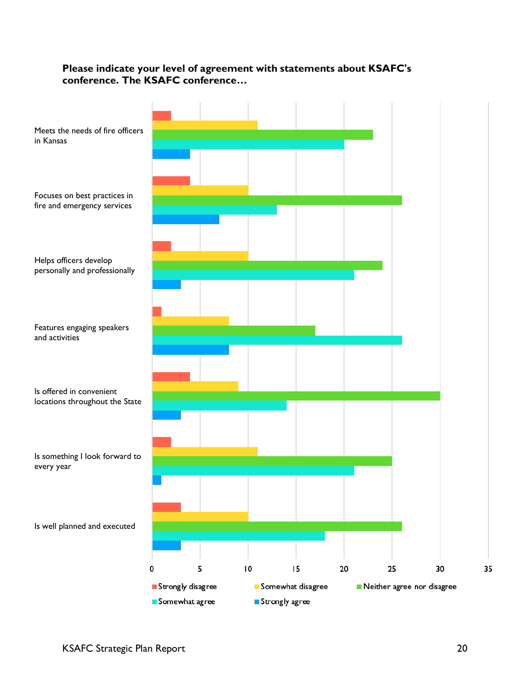## **Please indicate your level of agreement with statements about KSAFC's conference. The KSAFC conference…**

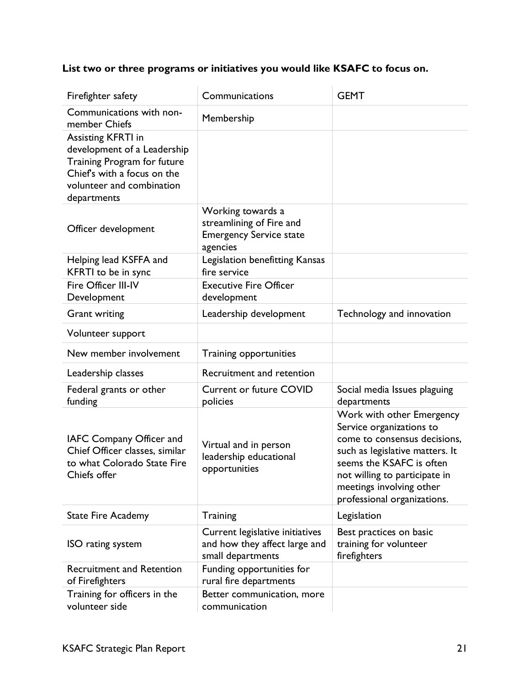# **List two or three programs or initiatives you would like KSAFC to focus on.**

| Firefighter safety                                                                                        | Communications                                                                              | <b>GEMT</b>                                                                                                                                                                                                                                      |
|-----------------------------------------------------------------------------------------------------------|---------------------------------------------------------------------------------------------|--------------------------------------------------------------------------------------------------------------------------------------------------------------------------------------------------------------------------------------------------|
| Communications with non-<br>member Chiefs                                                                 | Membership                                                                                  |                                                                                                                                                                                                                                                  |
| Assisting KFRTI in<br>development of a Leadership                                                         |                                                                                             |                                                                                                                                                                                                                                                  |
| Training Program for future<br>Chief's with a focus on the<br>volunteer and combination                   |                                                                                             |                                                                                                                                                                                                                                                  |
| departments                                                                                               |                                                                                             |                                                                                                                                                                                                                                                  |
| Officer development                                                                                       | Working towards a<br>streamlining of Fire and<br><b>Emergency Service state</b><br>agencies |                                                                                                                                                                                                                                                  |
| Helping lead KSFFA and<br>KFRTI to be in sync                                                             | Legislation benefitting Kansas<br>fire service                                              |                                                                                                                                                                                                                                                  |
| Fire Officer III-IV<br>Development                                                                        | <b>Executive Fire Officer</b><br>development                                                |                                                                                                                                                                                                                                                  |
| <b>Grant writing</b>                                                                                      | Leadership development                                                                      | Technology and innovation                                                                                                                                                                                                                        |
| Volunteer support                                                                                         |                                                                                             |                                                                                                                                                                                                                                                  |
| New member involvement                                                                                    | Training opportunities                                                                      |                                                                                                                                                                                                                                                  |
| Leadership classes                                                                                        | Recruitment and retention                                                                   |                                                                                                                                                                                                                                                  |
| Federal grants or other<br>funding                                                                        | <b>Current or future COVID</b><br>policies                                                  | Social media Issues plaguing<br>departments                                                                                                                                                                                                      |
| IAFC Company Officer and<br>Chief Officer classes, similar<br>to what Colorado State Fire<br>Chiefs offer | Virtual and in person<br>leadership educational<br>opportunities                            | Work with other Emergency<br>Service organizations to<br>come to consensus decisions,<br>such as legislative matters. It<br>seems the KSAFC is often<br>not willing to participate in<br>meetings involving other<br>professional organizations. |
| <b>State Fire Academy</b>                                                                                 | Training                                                                                    | Legislation                                                                                                                                                                                                                                      |
| ISO rating system                                                                                         | Current legislative initiatives<br>and how they affect large and<br>small departments       | Best practices on basic<br>training for volunteer<br>firefighters                                                                                                                                                                                |
| <b>Recruitment and Retention</b><br>of Firefighters                                                       | Funding opportunities for<br>rural fire departments                                         |                                                                                                                                                                                                                                                  |
| Training for officers in the<br>volunteer side                                                            | Better communication, more<br>communication                                                 |                                                                                                                                                                                                                                                  |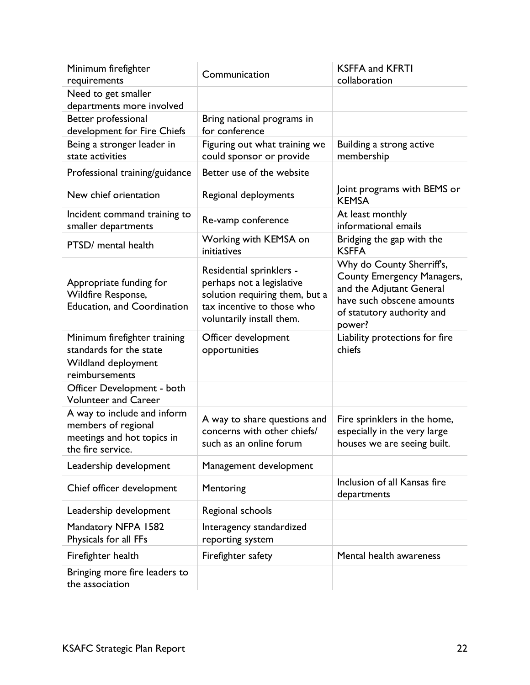| Minimum firefighter<br>requirements                                                                   | Communication                                                                                                                                      | <b>KSFFA and KFRTI</b><br>collaboration                                                                                                                  |
|-------------------------------------------------------------------------------------------------------|----------------------------------------------------------------------------------------------------------------------------------------------------|----------------------------------------------------------------------------------------------------------------------------------------------------------|
| Need to get smaller<br>departments more involved                                                      |                                                                                                                                                    |                                                                                                                                                          |
| Better professional<br>development for Fire Chiefs                                                    | Bring national programs in<br>for conference                                                                                                       |                                                                                                                                                          |
| Being a stronger leader in<br>state activities                                                        | Figuring out what training we<br>could sponsor or provide                                                                                          | Building a strong active<br>membership                                                                                                                   |
| Professional training/guidance                                                                        | Better use of the website                                                                                                                          |                                                                                                                                                          |
| New chief orientation                                                                                 | Regional deployments                                                                                                                               | Joint programs with BEMS or<br><b>KEMSA</b>                                                                                                              |
| Incident command training to<br>smaller departments                                                   | Re-vamp conference                                                                                                                                 | At least monthly<br>informational emails                                                                                                                 |
| PTSD/ mental health                                                                                   | Working with KEMSA on<br>initiatives                                                                                                               | Bridging the gap with the<br><b>KSFFA</b>                                                                                                                |
| Appropriate funding for<br>Wildfire Response,<br><b>Education, and Coordination</b>                   | Residential sprinklers -<br>perhaps not a legislative<br>solution requiring them, but a<br>tax incentive to those who<br>voluntarily install them. | Why do County Sherriff's,<br>County Emergency Managers,<br>and the Adjutant General<br>have such obscene amounts<br>of statutory authority and<br>power? |
| Minimum firefighter training<br>standards for the state                                               | Officer development<br>opportunities                                                                                                               | Liability protections for fire<br>chiefs                                                                                                                 |
| Wildland deployment<br>reimbursements                                                                 |                                                                                                                                                    |                                                                                                                                                          |
| Officer Development - both<br><b>Volunteer and Career</b>                                             |                                                                                                                                                    |                                                                                                                                                          |
| A way to include and inform<br>members of regional<br>meetings and hot topics in<br>the fire service. | A way to share questions and<br>concerns with other chiefs/<br>such as an online forum                                                             | Fire sprinklers in the home,<br>especially in the very large<br>houses we are seeing built.                                                              |
| Leadership development                                                                                | Management development                                                                                                                             |                                                                                                                                                          |
| Chief officer development                                                                             | Mentoring                                                                                                                                          | Inclusion of all Kansas fire<br>departments                                                                                                              |
| Leadership development                                                                                | Regional schools                                                                                                                                   |                                                                                                                                                          |
| Mandatory NFPA 1582<br>Physicals for all FFs                                                          | Interagency standardized<br>reporting system                                                                                                       |                                                                                                                                                          |
| Firefighter health                                                                                    | Firefighter safety                                                                                                                                 | Mental health awareness                                                                                                                                  |
| Bringing more fire leaders to<br>the association                                                      |                                                                                                                                                    |                                                                                                                                                          |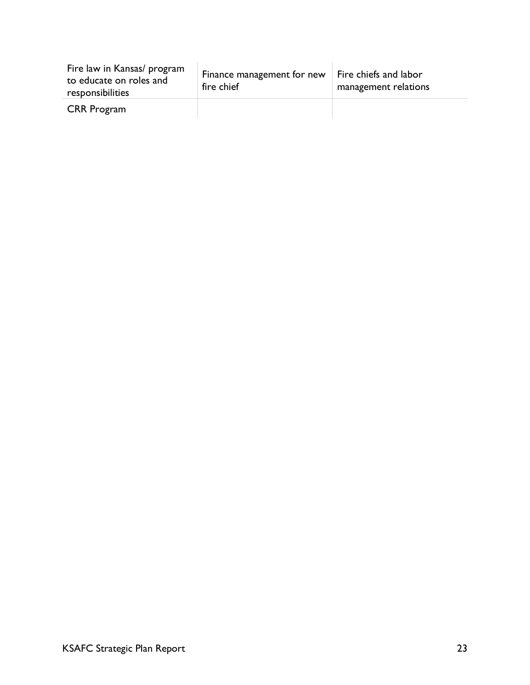| Fire law in Kansas/ program<br>to educate on roles and<br>responsibilities | Finance management for new<br>fire chief | Fire chiefs and labor<br>management relations |
|----------------------------------------------------------------------------|------------------------------------------|-----------------------------------------------|
| <b>CRR</b> Program                                                         |                                          |                                               |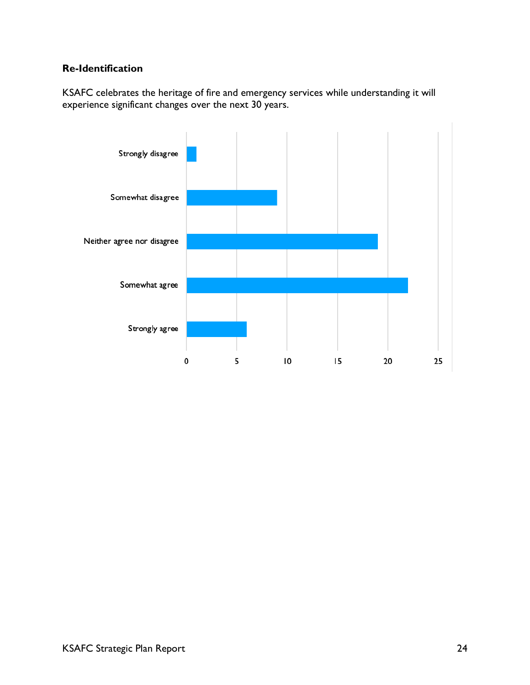# **Re-Identification**

KSAFC celebrates the heritage of fire and emergency services while understanding it will experience significant changes over the next 30 years.

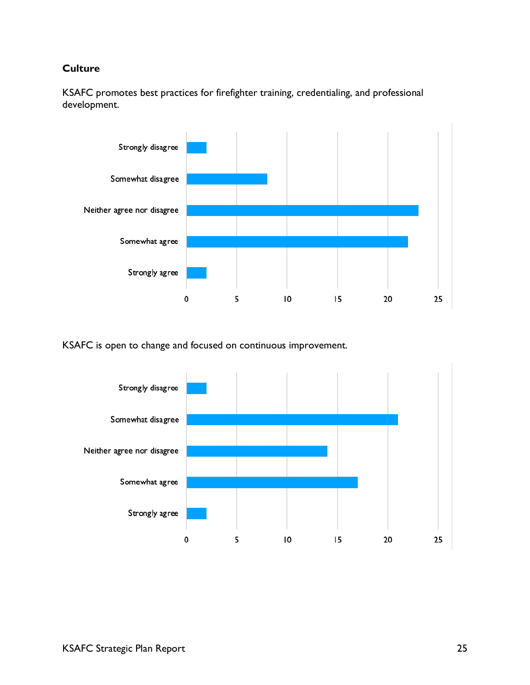## **Culture**



KSAFC promotes best practices for firefighter training, credentialing, and professional development.

KSAFC is open to change and focused on continuous improvement.

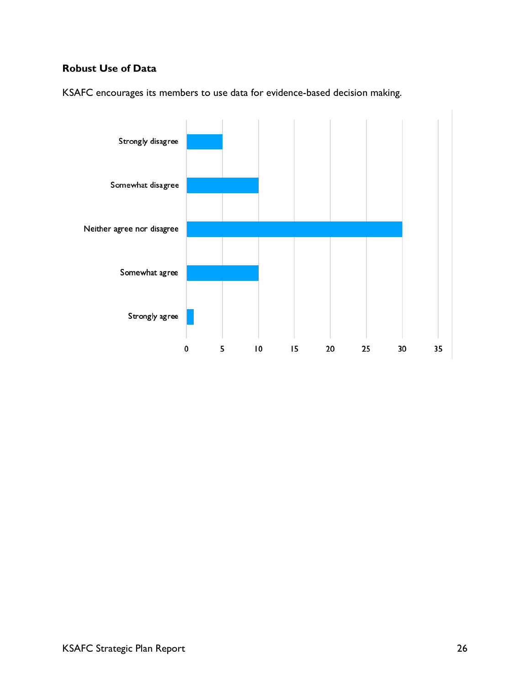# **Robust Use of Data**



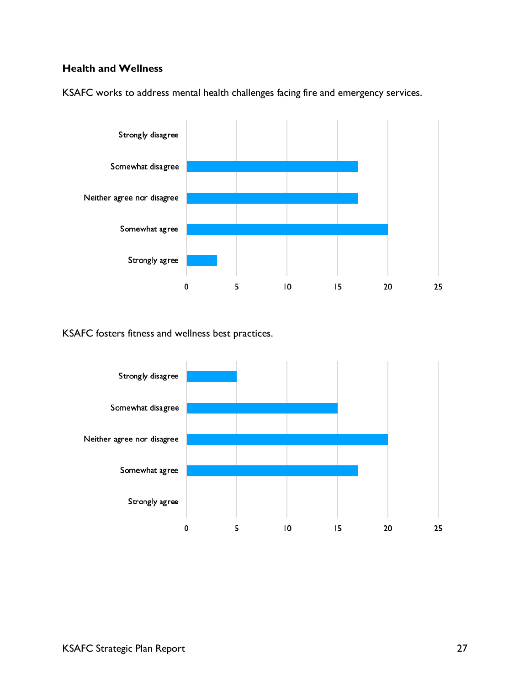# **Health and Wellness**



KSAFC works to address mental health challenges facing fire and emergency services.

KSAFC fosters fitness and wellness best practices.

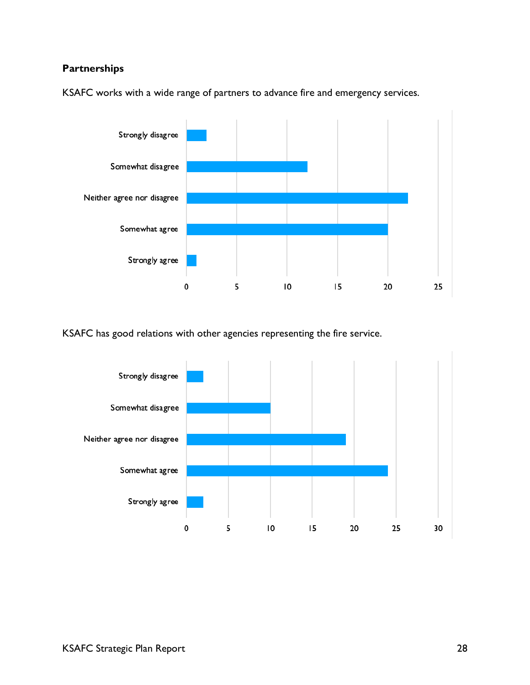# **Partnerships**



KSAFC works with a wide range of partners to advance fire and emergency services.

KSAFC has good relations with other agencies representing the fire service.

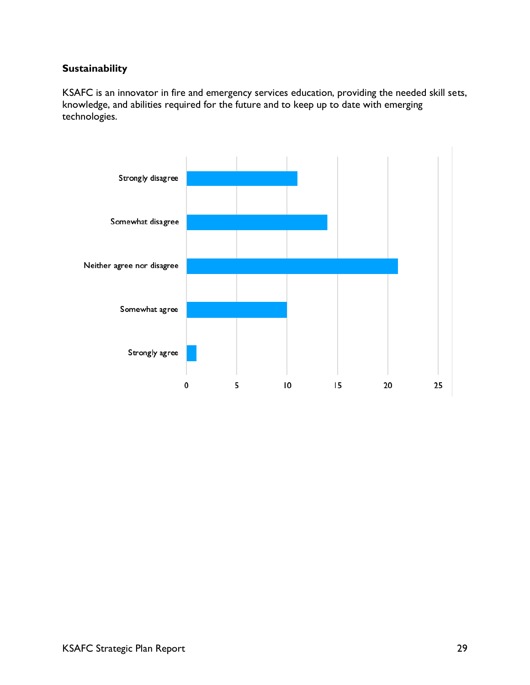# **Sustainability**

KSAFC is an innovator in fire and emergency services education, providing the needed skill sets, knowledge, and abilities required for the future and to keep up to date with emerging technologies.

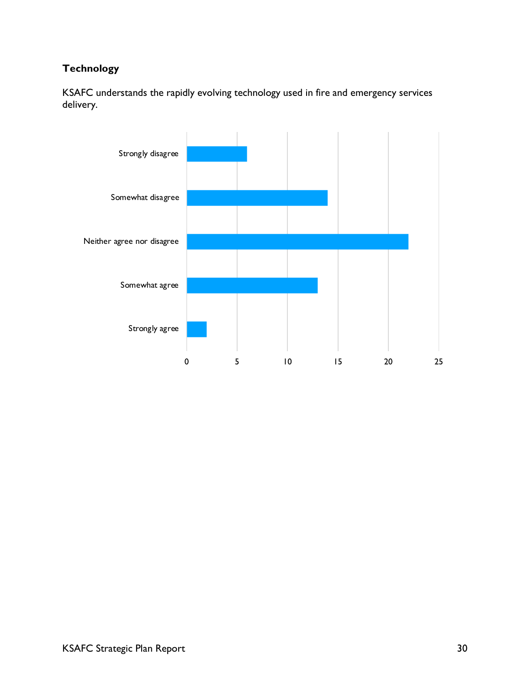# **Technology**

KSAFC understands the rapidly evolving technology used in fire and emergency services delivery.

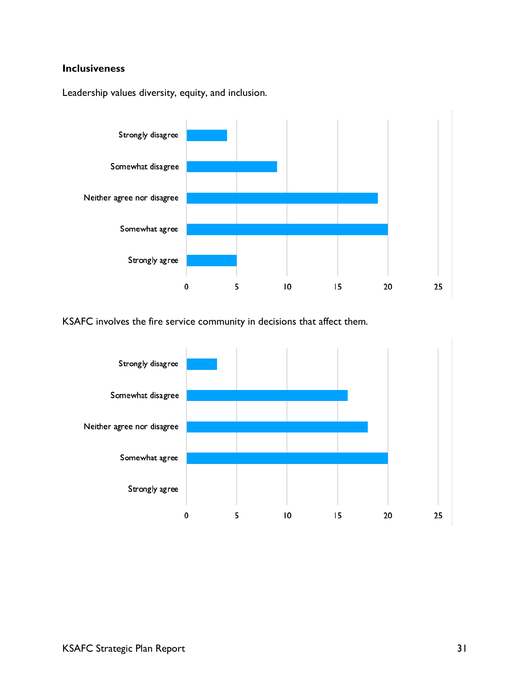## **Inclusiveness**

Leadership values diversity, equity, and inclusion.



KSAFC involves the fire service community in decisions that affect them.

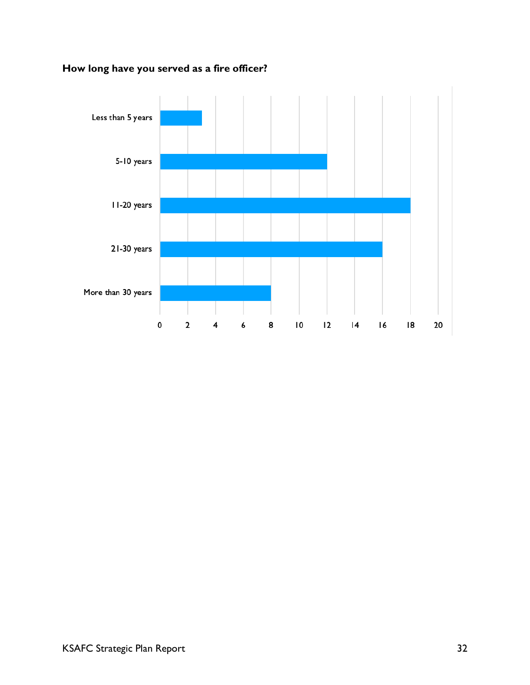

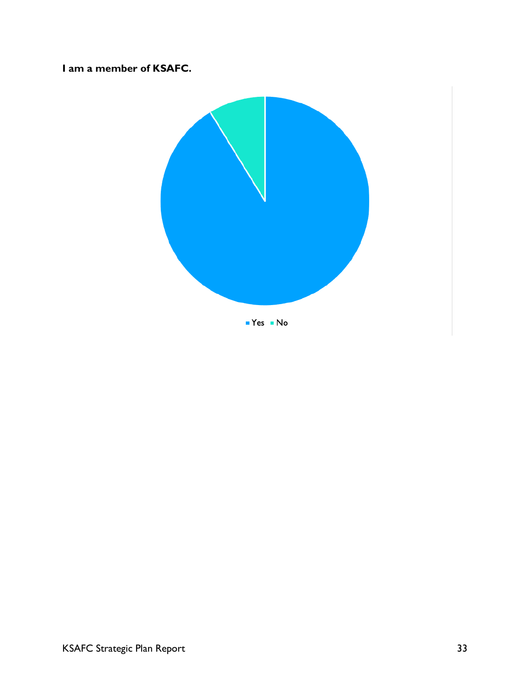# **I am a member of KSAFC.**

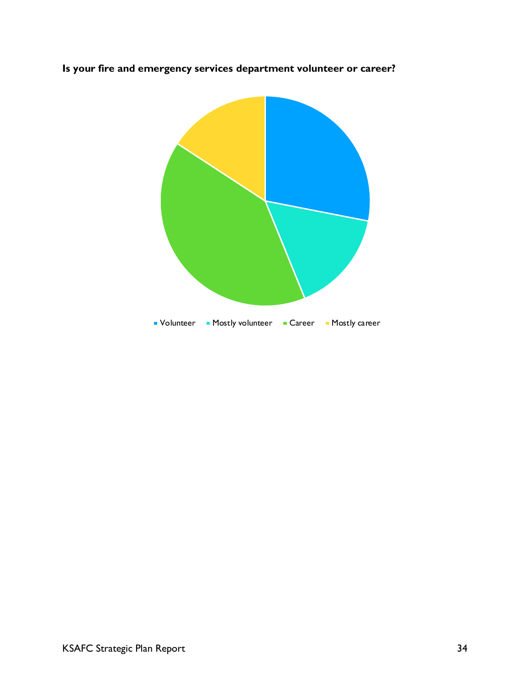**Is your fire and emergency services department volunteer or career?**

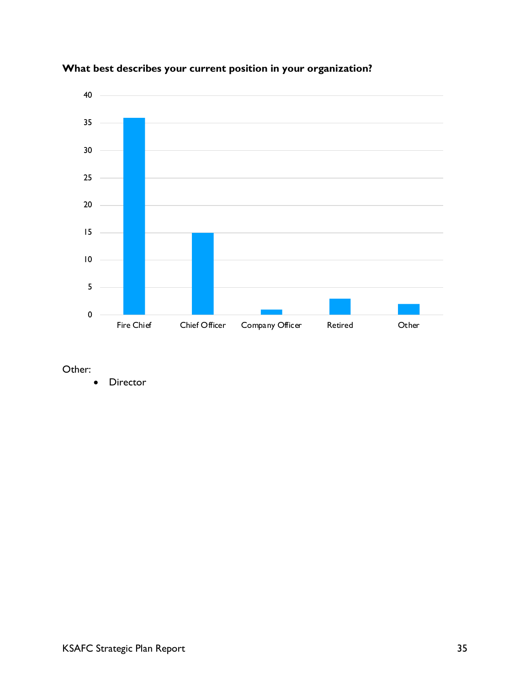

# **What best describes your current position in your organization?**

Other:

• Director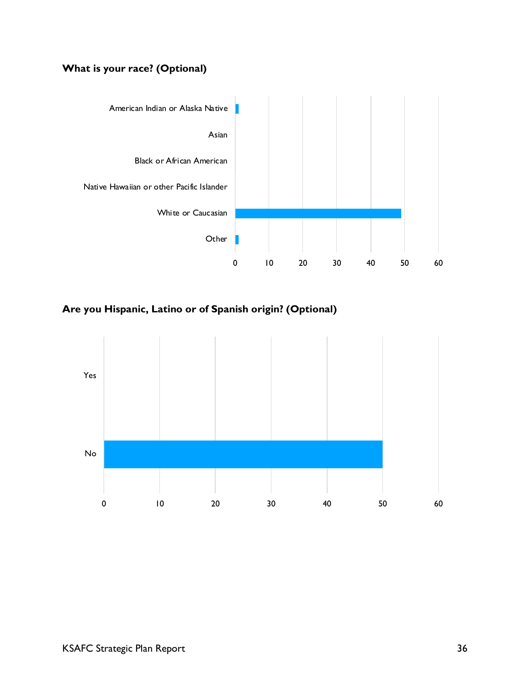# **What is your race? (Optional)**



**Are you Hispanic, Latino or of Spanish origin? (Optional)**

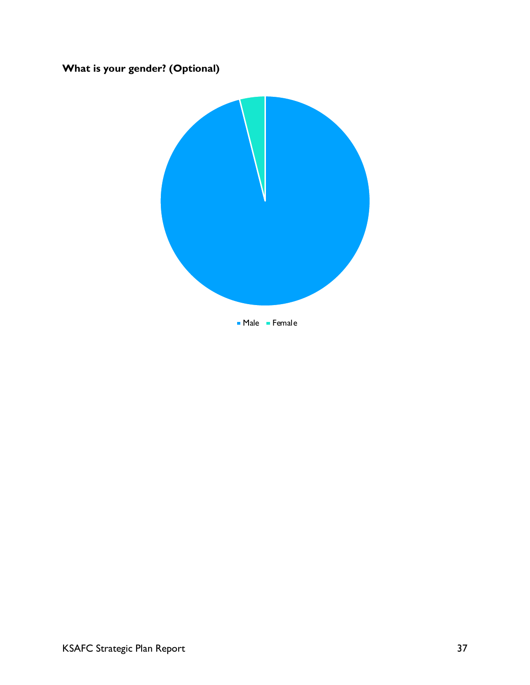# **What is your gender? (Optional)**